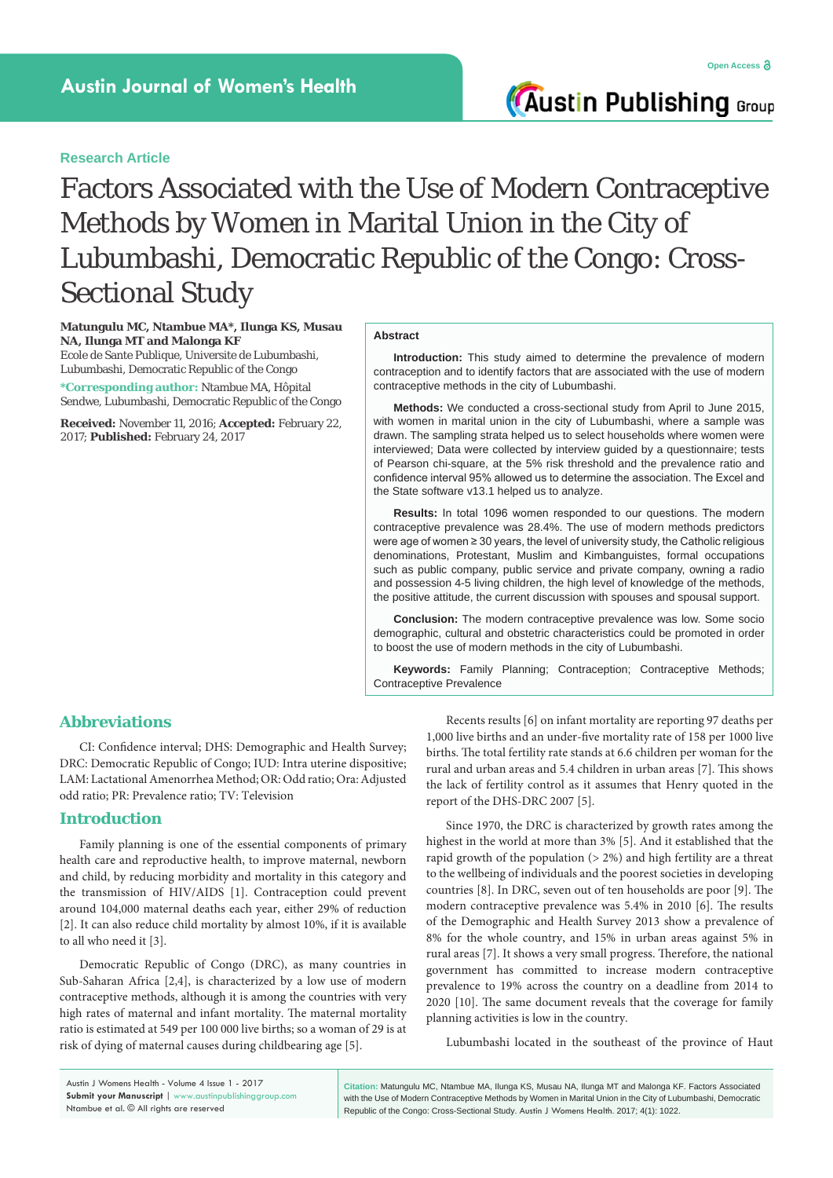**Austin Publishing Group** 

# Factors Associated with the Use of Modern Contraceptive Methods by Women in Marital Union in the City of Lubumbashi, Democratic Republic of the Congo: Cross-Sectional Study

### **Matungulu MC, Ntambue MA\*, Ilunga KS, Musau NA, Ilunga MT and Malonga KF**

Ecole de Sante Publique, Universite de Lubumbashi, Lubumbashi, Democratic Republic of the Congo

**\*Corresponding author:** Ntambue MA, Hôpital Sendwe, Lubumbashi, Democratic Republic of the Congo

**Received:** November 11, 2016; **Accepted:** February 22, 2017; **Published:** February 24, 2017

#### **Abstract**

**Introduction:** This study aimed to determine the prevalence of modern contraception and to identify factors that are associated with the use of modern contraceptive methods in the city of Lubumbashi.

**Methods:** We conducted a cross-sectional study from April to June 2015, with women in marital union in the city of Lubumbashi, where a sample was drawn. The sampling strata helped us to select households where women were interviewed; Data were collected by interview guided by a questionnaire; tests of Pearson chi-square, at the 5% risk threshold and the prevalence ratio and confidence interval 95% allowed us to determine the association. The Excel and the State software v13.1 helped us to analyze.

**Results:** In total 1096 women responded to our questions. The modern contraceptive prevalence was 28.4%. The use of modern methods predictors were age of women ≥ 30 years, the level of university study, the Catholic religious denominations, Protestant, Muslim and Kimbanguistes, formal occupations such as public company, public service and private company, owning a radio and possession 4-5 living children, the high level of knowledge of the methods, the positive attitude, the current discussion with spouses and spousal support.

**Conclusion:** The modern contraceptive prevalence was low. Some socio demographic, cultural and obstetric characteristics could be promoted in order to boost the use of modern methods in the city of Lubumbashi.

**Keywords:** Family Planning; Contraception; Contraceptive Methods; Contraceptive Prevalence

# **Abbreviations**

CI: Confidence interval; DHS: Demographic and Health Survey; DRC: Democratic Republic of Congo; IUD: Intra uterine dispositive; LAM: Lactational Amenorrhea Method; OR: Odd ratio; Ora: Adjusted odd ratio; PR: Prevalence ratio; TV: Television

### **Introduction**

Family planning is one of the essential components of primary health care and reproductive health, to improve maternal, newborn and child, by reducing morbidity and mortality in this category and the transmission of HIV/AIDS [1]. Contraception could prevent around 104,000 maternal deaths each year, either 29% of reduction [2]. It can also reduce child mortality by almost 10%, if it is available to all who need it [3].

Democratic Republic of Congo (DRC), as many countries in Sub-Saharan Africa [2,4], is characterized by a low use of modern contraceptive methods, although it is among the countries with very high rates of maternal and infant mortality. The maternal mortality ratio is estimated at 549 per 100 000 live births; so a woman of 29 is at risk of dying of maternal causes during childbearing age [5].

Recents results [6] on infant mortality are reporting 97 deaths per 1,000 live births and an under-five mortality rate of 158 per 1000 live births. The total fertility rate stands at 6.6 children per woman for the rural and urban areas and 5.4 children in urban areas [7]. This shows the lack of fertility control as it assumes that Henry quoted in the report of the DHS-DRC 2007 [5].

Since 1970, the DRC is characterized by growth rates among the highest in the world at more than 3% [5]. And it established that the rapid growth of the population (> 2%) and high fertility are a threat to the wellbeing of individuals and the poorest societies in developing countries [8]. In DRC, seven out of ten households are poor [9]. The modern contraceptive prevalence was 5.4% in 2010 [6]. The results of the Demographic and Health Survey 2013 show a prevalence of 8% for the whole country, and 15% in urban areas against 5% in rural areas [7]. It shows a very small progress. Therefore, the national government has committed to increase modern contraceptive prevalence to 19% across the country on a deadline from 2014 to 2020 [10]. The same document reveals that the coverage for family planning activities is low in the country.

Lubumbashi located in the southeast of the province of Haut

Austin J Womens Health - Volume 4 Issue 1 - 2017 **Submit your Manuscript** | www.austinpublishinggroup.com Ntambue et al. © All rights are reserved

**Citation:** Matungulu MC, Ntambue MA, Ilunga KS, Musau NA, Ilunga MT and Malonga KF. Factors Associated with the Use of Modern Contraceptive Methods by Women in Marital Union in the City of Lubumbashi, Democratic Republic of the Congo: Cross-Sectional Study. Austin J Womens Health. 2017; 4(1): 1022.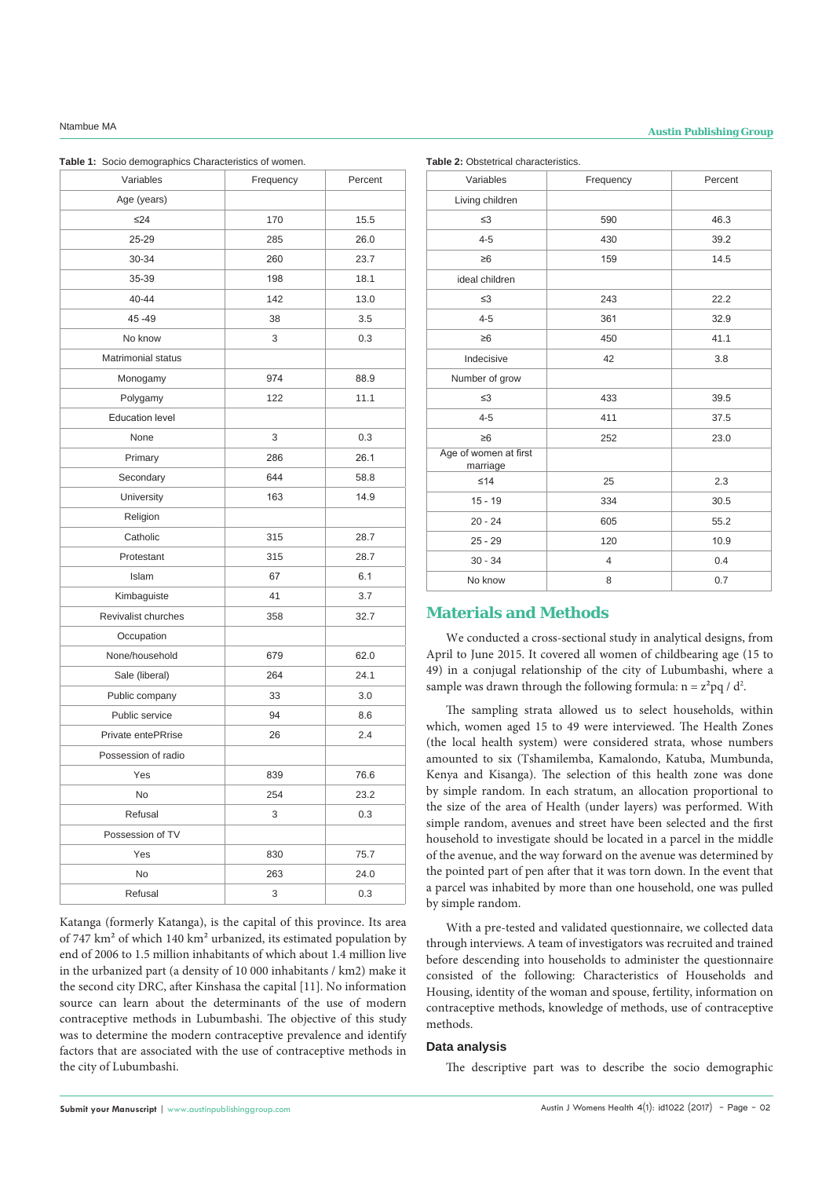# **Ntambue MA Austin Publishing Group**

**Table 1:** Socio demographics Characteristics of women.

| Variables              | Frequency | Percent |
|------------------------|-----------|---------|
| Age (years)            |           |         |
| $\leq$ 24              | 170       | 15.5    |
| 25-29                  | 285       | 26.0    |
| 30-34                  | 260       | 23.7    |
| 35-39                  | 198       | 18.1    |
| 40-44                  | 142       | 13.0    |
| 45-49                  | 38        | 3.5     |
| No know                | 3         | 0.3     |
| Matrimonial status     |           |         |
| Monogamy               | 974       | 88.9    |
| Polygamy               | 122       | 11.1    |
| <b>Education level</b> |           |         |
| None                   | 3         | 0.3     |
| Primary                | 286       | 26.1    |
| Secondary              | 644       | 58.8    |
| University             | 163       | 14.9    |
| Religion               |           |         |
| Catholic               | 315       | 28.7    |
| Protestant             | 315       | 28.7    |
| Islam                  | 67        | 6.1     |
| Kimbaguiste            | 41        | 3.7     |
| Revivalist churches    | 358       | 32.7    |
| Occupation             |           |         |
| None/household         | 679       | 62.0    |
| Sale (liberal)         | 264       | 24.1    |
| Public company         | 33        | 3.0     |
| Public service         | 94        | 8.6     |
| Private entePRrise     | 26        | 2.4     |
| Possession of radio    |           |         |
| Yes                    | 839       | 76.6    |
| No                     | 254       | 23.2    |
| Refusal                | 3         | 0.3     |
| Possession of TV       |           |         |
| Yes                    | 830       | 75.7    |
| No                     | 263       | 24.0    |
| Refusal                | 3         | 0.3     |

Katanga (formerly Katanga), is the capital of this province. Its area of 747 km² of which 140 km² urbanized, its estimated population by end of 2006 to 1.5 million inhabitants of which about 1.4 million live in the urbanized part (a density of 10 000 inhabitants / km2) make it the second city DRC, after Kinshasa the capital [11]. No information source can learn about the determinants of the use of modern contraceptive methods in Lubumbashi. The objective of this study was to determine the modern contraceptive prevalence and identify factors that are associated with the use of contraceptive methods in the city of Lubumbashi.

| Variables                         | Frequency      | Percent |
|-----------------------------------|----------------|---------|
| Living children                   |                |         |
| $\leq$ 3                          | 590            | 46.3    |
| $4 - 5$                           | 430            | 39.2    |
| $\geq 6$                          | 159            | 14.5    |
| ideal children                    |                |         |
| $\leq$ 3                          | 243            | 22.2    |
| $4 - 5$                           | 361            | 32.9    |
| $\geq 6$                          | 450            | 41.1    |
| Indecisive                        | 42             | 3.8     |
| Number of grow                    |                |         |
| $\leq$ 3                          | 433            | 39.5    |
| $4 - 5$                           | 411            | 37.5    |
| $\geq 6$                          | 252            | 23.0    |
| Age of women at first<br>marriage |                |         |
| ≤14                               | 25             | 2.3     |
| $15 - 19$                         | 334            | 30.5    |
| $20 - 24$                         | 605            | 55.2    |
| $25 - 29$                         | 120            | 10.9    |
| $30 - 34$                         | $\overline{4}$ | 0.4     |
| No know                           | 8              | 0.7     |

## **Materials and Methods**

We conducted a cross-sectional study in analytical designs, from April to June 2015. It covered all women of childbearing age (15 to 49) in a conjugal relationship of the city of Lubumbashi, where a sample was drawn through the following formula:  $n = z^2 pq / d^2$ .

The sampling strata allowed us to select households, within which, women aged 15 to 49 were interviewed. The Health Zones (the local health system) were considered strata, whose numbers amounted to six (Tshamilemba, Kamalondo, Katuba, Mumbunda, Kenya and Kisanga). The selection of this health zone was done by simple random. In each stratum, an allocation proportional to the size of the area of Health (under layers) was performed. With simple random, avenues and street have been selected and the first household to investigate should be located in a parcel in the middle of the avenue, and the way forward on the avenue was determined by the pointed part of pen after that it was torn down. In the event that a parcel was inhabited by more than one household, one was pulled by simple random.

With a pre-tested and validated questionnaire, we collected data through interviews. A team of investigators was recruited and trained before descending into households to administer the questionnaire consisted of the following: Characteristics of Households and Housing, identity of the woman and spouse, fertility, information on contraceptive methods, knowledge of methods, use of contraceptive methods.

### **Data analysis**

The descriptive part was to describe the socio demographic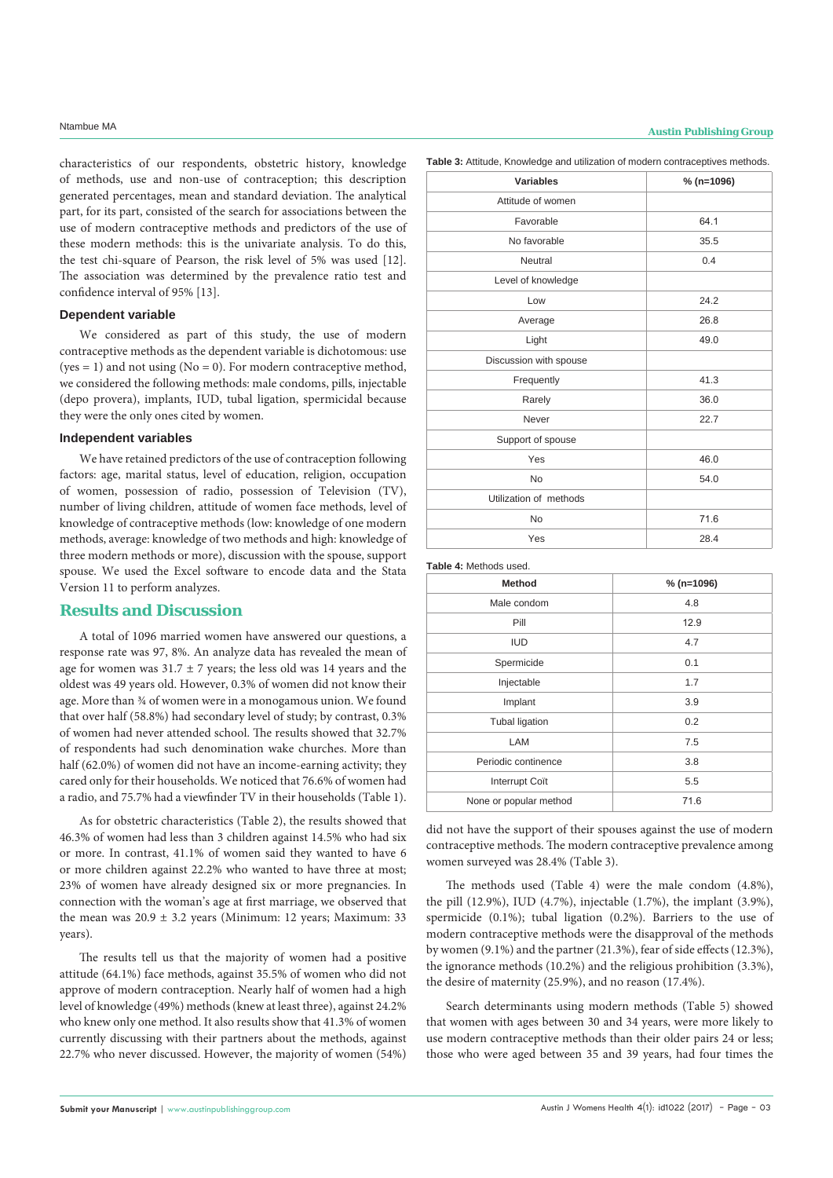characteristics of our respondents, obstetric history, knowledge of methods, use and non-use of contraception; this description generated percentages, mean and standard deviation. The analytical part, for its part, consisted of the search for associations between the use of modern contraceptive methods and predictors of the use of these modern methods: this is the univariate analysis. To do this, the test chi-square of Pearson, the risk level of 5% was used [12]. The association was determined by the prevalence ratio test and confidence interval of 95% [13].

### **Dependent variable**

We considered as part of this study, the use of modern contraceptive methods as the dependent variable is dichotomous: use (yes = 1) and not using ( $No = 0$ ). For modern contraceptive method, we considered the following methods: male condoms, pills, injectable (depo provera), implants, IUD, tubal ligation, spermicidal because they were the only ones cited by women.

#### **Independent variables**

We have retained predictors of the use of contraception following factors: age, marital status, level of education, religion, occupation of women, possession of radio, possession of Television (TV), number of living children, attitude of women face methods, level of knowledge of contraceptive methods (low: knowledge of one modern methods, average: knowledge of two methods and high: knowledge of three modern methods or more), discussion with the spouse, support spouse. We used the Excel software to encode data and the Stata Version 11 to perform analyzes.

#### **Results and Discussion**

A total of 1096 married women have answered our questions, a response rate was 97, 8%. An analyze data has revealed the mean of age for women was  $31.7 \pm 7$  years; the less old was 14 years and the oldest was 49 years old. However, 0.3% of women did not know their age. More than  $%$  of women were in a monogamous union. We found that over half (58.8%) had secondary level of study; by contrast, 0.3% of women had never attended school. The results showed that 32.7% of respondents had such denomination wake churches. More than half (62.0%) of women did not have an income-earning activity; they cared only for their households. We noticed that 76.6% of women had a radio, and 75.7% had a viewfinder TV in their households (Table 1).

As for obstetric characteristics (Table 2), the results showed that 46.3% of women had less than 3 children against 14.5% who had six or more. In contrast, 41.1% of women said they wanted to have 6 or more children against 22.2% who wanted to have three at most; 23% of women have already designed six or more pregnancies. In connection with the woman's age at first marriage, we observed that the mean was  $20.9 \pm 3.2$  years (Minimum: 12 years; Maximum: 33 years).

The results tell us that the majority of women had a positive attitude (64.1%) face methods, against 35.5% of women who did not approve of modern contraception. Nearly half of women had a high level of knowledge (49%) methods (knew at least three), against 24.2% who knew only one method. It also results show that 41.3% of women currently discussing with their partners about the methods, against 22.7% who never discussed. However, the majority of women (54%)

# **Ntambue MA Austin Publishing Group**

**Table 3:** Attitude, Knowledge and utilization of modern contraceptives methods.

| <b>Variables</b>       | $% (n=1096)$ |
|------------------------|--------------|
| Attitude of women      |              |
| Favorable              | 64.1         |
| No favorable           | 35.5         |
| Neutral                | 0.4          |
| Level of knowledge     |              |
| Low                    | 24.2         |
| Average                | 26.8         |
| Light                  | 49.0         |
| Discussion with spouse |              |
| Frequently             | 41.3         |
| Rarely                 | 36.0         |
| Never                  | 22.7         |
| Support of spouse      |              |
| Yes                    | 46.0         |
| <b>No</b>              | 54.0         |
| Utilization of methods |              |
| <b>No</b>              | 71.6         |
| Yes                    | 28.4         |

**Table 4:** Methods used.

| <b>Method</b>          | $% (n=1096)$ |
|------------------------|--------------|
| Male condom            | 4.8          |
| Pill                   | 12.9         |
| <b>IUD</b>             | 4.7          |
| Spermicide             | 0.1          |
| Injectable             | 1.7          |
| Implant                | 3.9          |
| <b>Tubal ligation</b>  | 0.2          |
| LAM                    | 7.5          |
| Periodic continence    | 3.8          |
| Interrupt Coït         | 5.5          |
| None or popular method | 71.6         |

did not have the support of their spouses against the use of modern contraceptive methods. The modern contraceptive prevalence among women surveyed was 28.4% (Table 3).

The methods used (Table 4) were the male condom (4.8%), the pill (12.9%), IUD (4.7%), injectable (1.7%), the implant (3.9%), spermicide (0.1%); tubal ligation (0.2%). Barriers to the use of modern contraceptive methods were the disapproval of the methods by women (9.1%) and the partner (21.3%), fear of side effects (12.3%), the ignorance methods (10.2%) and the religious prohibition (3.3%), the desire of maternity (25.9%), and no reason (17.4%).

Search determinants using modern methods (Table 5) showed that women with ages between 30 and 34 years, were more likely to use modern contraceptive methods than their older pairs 24 or less; those who were aged between 35 and 39 years, had four times the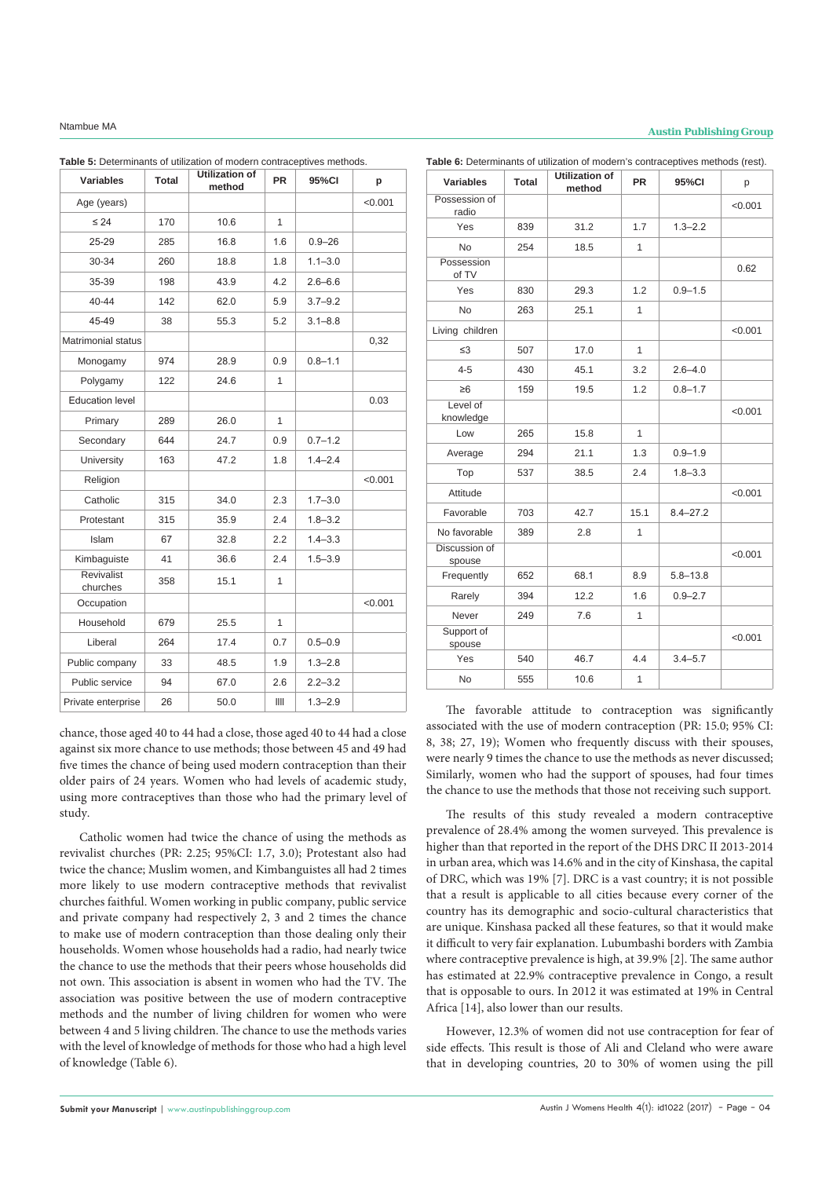# **Ntambue MA Austin Publishing Group**

| <b>Variables</b>              | <b>Total</b> | Utilization of<br>method | <b>PR</b> | 95%CI       | p       |
|-------------------------------|--------------|--------------------------|-----------|-------------|---------|
| Age (years)                   |              |                          |           |             | < 0.001 |
| $\leq 24$                     | 170          | 10.6                     | 1         |             |         |
| 25-29                         | 285          | 16.8                     | 1.6       | $0.9 - 26$  |         |
| $30 - 34$                     | 260          | 18.8                     | 1.8       | $1.1 - 3.0$ |         |
| 35-39                         | 198          | 43.9                     | 4.2       | $2.6 - 6.6$ |         |
| $40 - 44$                     | 142          | 62.0                     | 5.9       | $3.7 - 9.2$ |         |
| 45-49                         | 38           | 55.3                     | 5.2       | $3.1 - 8.8$ |         |
| <b>Matrimonial status</b>     |              |                          |           |             | 0,32    |
| Monogamy                      | 974          | 28.9                     | 0.9       | $0.8 - 1.1$ |         |
| Polygamy                      | 122          | 24.6                     | 1         |             |         |
| <b>Education level</b>        |              |                          |           |             | 0.03    |
| Primary                       | 289          | 26.0                     | 1         |             |         |
| Secondary                     | 644          | 24.7                     | 0.9       | $0.7 - 1.2$ |         |
| University                    | 163          | 47.2                     | 1.8       | $1.4 - 2.4$ |         |
| Religion                      |              |                          |           |             | < 0.001 |
| Catholic                      | 315          | 34.0                     | 2.3       | $1.7 - 3.0$ |         |
| Protestant                    | 315          | 35.9                     | 2.4       | $1.8 - 3.2$ |         |
| Islam                         | 67           | 32.8                     | 2.2       | $1.4 - 3.3$ |         |
| Kimbaguiste                   | 41           | 36.6                     | 2.4       | $1.5 - 3.9$ |         |
| <b>Revivalist</b><br>churches | 358          | 15.1                     | 1         |             |         |
| Occupation                    |              |                          |           |             | < 0.001 |
| Household                     | 679          | 25.5                     | 1         |             |         |
| Liberal                       | 264          | 17.4                     | 0.7       | $0.5 - 0.9$ |         |
| Public company                | 33           | 48.5                     | 1.9       | $1.3 - 2.8$ |         |
| Public service                | 94           | 67.0                     | 2.6       | $2.2 - 3.2$ |         |
| Private enterprise            | 26           | 50.0                     | Ш         | $1.3 - 2.9$ |         |

**Table 5:** Determinants of utilization of modern contraceptives methods.

**Valigation of Table 6:** Determinants of utilization of modern's contraceptives methods (rest).

| Variables               | Total | method | PR   | 95%CI        | р       |
|-------------------------|-------|--------|------|--------------|---------|
| Possession of<br>radio  |       |        |      |              | < 0.001 |
| Yes                     | 839   | 31.2   | 1.7  | $1.3 - 2.2$  |         |
| <b>No</b>               | 254   | 18.5   | 1    |              |         |
| Possession<br>of TV     |       |        |      |              | 0.62    |
| Yes                     | 830   | 29.3   | 1.2  | $0.9 - 1.5$  |         |
| <b>No</b>               | 263   | 25.1   | 1    |              |         |
| Living children         |       |        |      |              | < 0.001 |
| $\leq$ 3                | 507   | 17.0   | 1    |              |         |
| $4 - 5$                 | 430   | 45.1   | 3.2  | $2.6 - 4.0$  |         |
| $\geq 6$                | 159   | 19.5   | 1.2  | $0.8 - 1.7$  |         |
| Level of<br>knowledge   |       |        |      |              | < 0.001 |
| Low                     | 265   | 15.8   | 1    |              |         |
| Average                 | 294   | 21.1   | 1.3  | $0.9 - 1.9$  |         |
| Top                     | 537   | 38.5   | 2.4  | $1.8 - 3.3$  |         |
| Attitude                |       |        |      |              | < 0.001 |
| Favorable               | 703   | 42.7   | 15.1 | $8.4 - 27.2$ |         |
| No favorable            | 389   | 2.8    | 1    |              |         |
| Discussion of<br>spouse |       |        |      |              | < 0.001 |
| Frequently              | 652   | 68.1   | 8.9  | $5.8 - 13.8$ |         |
| Rarely                  | 394   | 12.2   | 1.6  | $0.9 - 2.7$  |         |
| Never                   | 249   | 7.6    | 1    |              |         |
| Support of<br>spouse    |       |        |      |              | < 0.001 |
| Yes                     | 540   | 46.7   | 4.4  | $3.4 - 5.7$  |         |
| <b>No</b>               | 555   | 10.6   | 1    |              |         |

chance, those aged 40 to 44 had a close, those aged 40 to 44 had a close against six more chance to use methods; those between 45 and 49 had five times the chance of being used modern contraception than their older pairs of 24 years. Women who had levels of academic study, using more contraceptives than those who had the primary level of study.

Catholic women had twice the chance of using the methods as revivalist churches (PR: 2.25; 95%CI: 1.7, 3.0); Protestant also had twice the chance; Muslim women, and Kimbanguistes all had 2 times more likely to use modern contraceptive methods that revivalist churches faithful. Women working in public company, public service and private company had respectively 2, 3 and 2 times the chance to make use of modern contraception than those dealing only their households. Women whose households had a radio, had nearly twice the chance to use the methods that their peers whose households did not own. This association is absent in women who had the TV. The association was positive between the use of modern contraceptive methods and the number of living children for women who were between 4 and 5 living children. The chance to use the methods varies with the level of knowledge of methods for those who had a high level of knowledge (Table 6).

The favorable attitude to contraception was significantly associated with the use of modern contraception (PR: 15.0; 95% CI: 8, 38; 27, 19); Women who frequently discuss with their spouses, were nearly 9 times the chance to use the methods as never discussed; Similarly, women who had the support of spouses, had four times the chance to use the methods that those not receiving such support.

The results of this study revealed a modern contraceptive prevalence of 28.4% among the women surveyed. This prevalence is higher than that reported in the report of the DHS DRC II 2013-2014 in urban area, which was 14.6% and in the city of Kinshasa, the capital of DRC, which was 19% [7]. DRC is a vast country; it is not possible that a result is applicable to all cities because every corner of the country has its demographic and socio-cultural characteristics that are unique. Kinshasa packed all these features, so that it would make it difficult to very fair explanation. Lubumbashi borders with Zambia where contraceptive prevalence is high, at 39.9% [2]. The same author has estimated at 22.9% contraceptive prevalence in Congo, a result that is opposable to ours. In 2012 it was estimated at 19% in Central Africa [14], also lower than our results.

However, 12.3% of women did not use contraception for fear of side effects. This result is those of Ali and Cleland who were aware that in developing countries, 20 to 30% of women using the pill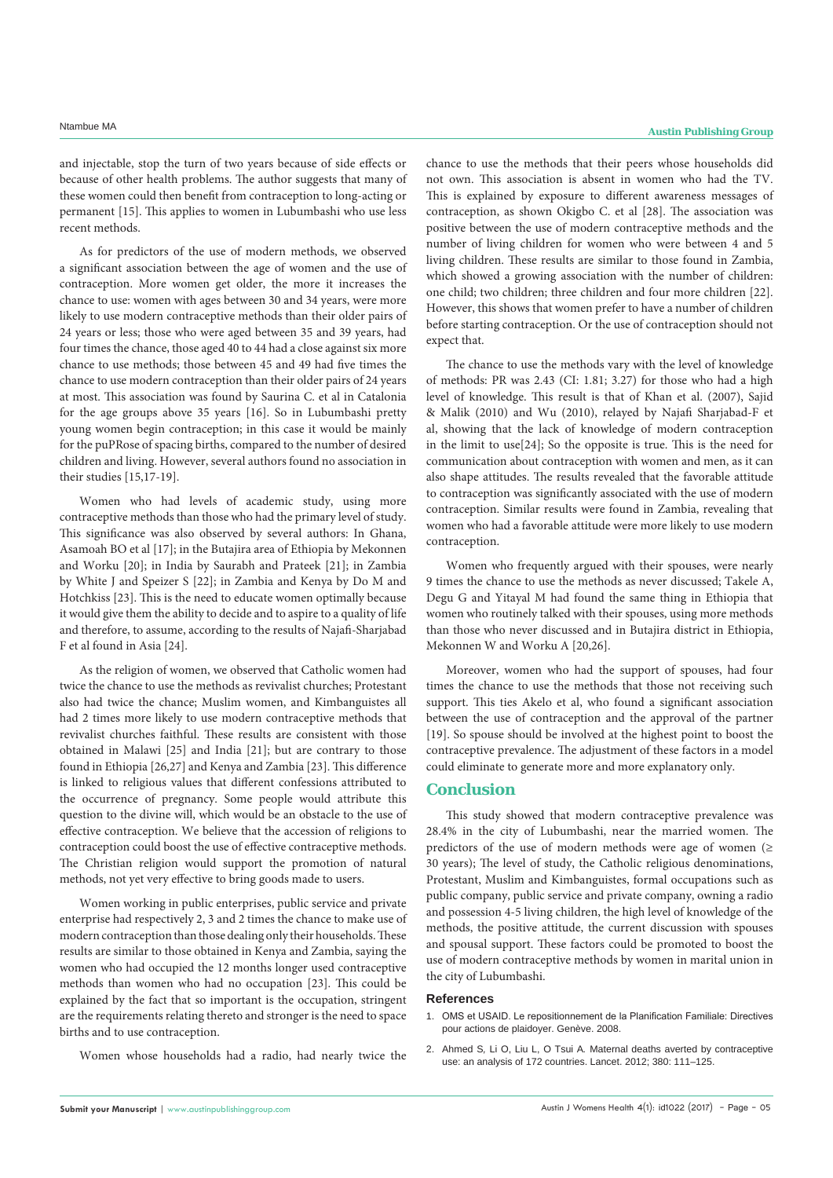and injectable, stop the turn of two years because of side effects or because of other health problems. The author suggests that many of these women could then benefit from contraception to long-acting or permanent [15]. This applies to women in Lubumbashi who use less recent methods.

As for predictors of the use of modern methods, we observed a significant association between the age of women and the use of contraception. More women get older, the more it increases the chance to use: women with ages between 30 and 34 years, were more likely to use modern contraceptive methods than their older pairs of 24 years or less; those who were aged between 35 and 39 years, had four times the chance, those aged 40 to 44 had a close against six more chance to use methods; those between 45 and 49 had five times the chance to use modern contraception than their older pairs of 24 years at most. This association was found by Saurina C. et al in Catalonia for the age groups above 35 years [16]. So in Lubumbashi pretty young women begin contraception; in this case it would be mainly for the puPRose of spacing births, compared to the number of desired children and living. However, several authors found no association in their studies [15,17-19].

Women who had levels of academic study, using more contraceptive methods than those who had the primary level of study. This significance was also observed by several authors: In Ghana, Asamoah BO et al [17]; in the Butajira area of Ethiopia by Mekonnen and Worku [20]; in India by Saurabh and Prateek [21]; in Zambia by White J and Speizer S [22]; in Zambia and Kenya by Do M and Hotchkiss [23]. This is the need to educate women optimally because it would give them the ability to decide and to aspire to a quality of life and therefore, to assume, according to the results of Najafi-Sharjabad F et al found in Asia [24].

As the religion of women, we observed that Catholic women had twice the chance to use the methods as revivalist churches; Protestant also had twice the chance; Muslim women, and Kimbanguistes all had 2 times more likely to use modern contraceptive methods that revivalist churches faithful. These results are consistent with those obtained in Malawi [25] and India [21]; but are contrary to those found in Ethiopia [26,27] and Kenya and Zambia [23]. This difference is linked to religious values that different confessions attributed to the occurrence of pregnancy. Some people would attribute this question to the divine will, which would be an obstacle to the use of effective contraception. We believe that the accession of religions to contraception could boost the use of effective contraceptive methods. The Christian religion would support the promotion of natural methods, not yet very effective to bring goods made to users.

Women working in public enterprises, public service and private enterprise had respectively 2, 3 and 2 times the chance to make use of modern contraception than those dealing only their households. These results are similar to those obtained in Kenya and Zambia, saying the women who had occupied the 12 months longer used contraceptive methods than women who had no occupation [23]. This could be explained by the fact that so important is the occupation, stringent are the requirements relating thereto and stronger is the need to space births and to use contraception.

Women whose households had a radio, had nearly twice the

chance to use the methods that their peers whose households did not own. This association is absent in women who had the TV. This is explained by exposure to different awareness messages of contraception, as shown Okigbo C. et al [28]. The association was positive between the use of modern contraceptive methods and the number of living children for women who were between 4 and 5 living children. These results are similar to those found in Zambia, which showed a growing association with the number of children: one child; two children; three children and four more children [22]. However, this shows that women prefer to have a number of children before starting contraception. Or the use of contraception should not expect that.

The chance to use the methods vary with the level of knowledge of methods: PR was 2.43 (CI: 1.81; 3.27) for those who had a high level of knowledge. This result is that of Khan et al. (2007), Sajid & Malik (2010) and Wu (2010), relayed by Najafi Sharjabad-F et al, showing that the lack of knowledge of modern contraception in the limit to use[24]; So the opposite is true. This is the need for communication about contraception with women and men, as it can also shape attitudes. The results revealed that the favorable attitude to contraception was significantly associated with the use of modern contraception. Similar results were found in Zambia, revealing that women who had a favorable attitude were more likely to use modern contraception.

Women who frequently argued with their spouses, were nearly 9 times the chance to use the methods as never discussed; Takele A, Degu G and Yitayal M had found the same thing in Ethiopia that women who routinely talked with their spouses, using more methods than those who never discussed and in Butajira district in Ethiopia, Mekonnen W and Worku A [20,26].

Moreover, women who had the support of spouses, had four times the chance to use the methods that those not receiving such support. This ties Akelo et al, who found a significant association between the use of contraception and the approval of the partner [19]. So spouse should be involved at the highest point to boost the contraceptive prevalence. The adjustment of these factors in a model could eliminate to generate more and more explanatory only.

### **Conclusion**

This study showed that modern contraceptive prevalence was 28.4% in the city of Lubumbashi, near the married women. The predictors of the use of modern methods were age of women ( $\geq$ 30 years); The level of study, the Catholic religious denominations, Protestant, Muslim and Kimbanguistes, formal occupations such as public company, public service and private company, owning a radio and possession 4-5 living children, the high level of knowledge of the methods, the positive attitude, the current discussion with spouses and spousal support. These factors could be promoted to boost the use of modern contraceptive methods by women in marital union in the city of Lubumbashi.

#### **References**

- 1. [OMS et USAID. Le repositionnement de la Planification Familiale: Directives](http://www.who.int/reproductivehealth/publications/family_planning/fp_advocacy_tool/fr/)  [pour actions de plaidoyer. Genève. 2008.](http://www.who.int/reproductivehealth/publications/family_planning/fp_advocacy_tool/fr/)
- 2. Ahmed S*,* Li O, Liu L, O Tsui A*.* [Maternal deaths averted by contraceptive](https://www.ncbi.nlm.nih.gov/pubmed/22784531)  [use: an analysis of 172 countries. Lancet.](https://www.ncbi.nlm.nih.gov/pubmed/22784531) 2012; 380: 111–125.